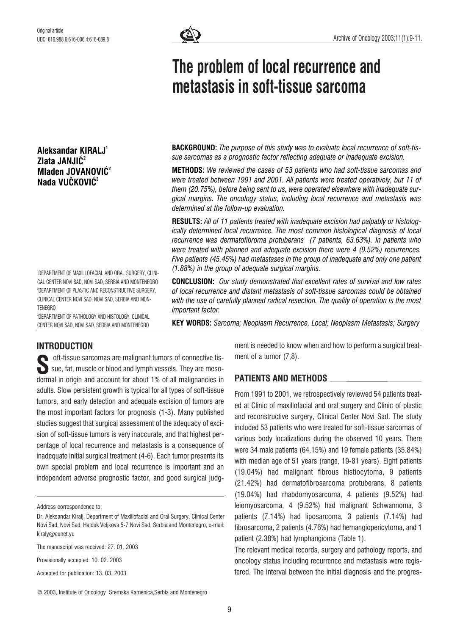Aleksandar KIRALJ1 Zlata JANJIĆ<sup>2</sup> Mladen JOVANOVIĆ<sup>2</sup> Nada VUČKOVIĆ<sup>3</sup>

1 DEPARTMENT OF MAXILLOFACIAL AND ORAL SURGERY, CLINI-CAL CENTER NOVI SAD, NOVI SAD, SERBIA AND MONTENEGRO 2 DEPARTMENT OF PLASTIC AND RECONSTRUCTIVE SURGERY, CLINICAL CENTER NOVI SAD, NOVI SAD, SERBIA AND MON-TENEGRO

3 DEPARTMENT OF PATHOLOGY AND HISTOLOGY, CLINICAL CENTER NOVI SAD, NOVI SAD, SERBIA AND MONTENEGRO



# The problem of local recurrence and metastasis in soft-tissue sarcoma

BACKGROUND: The purpose of this study was to evaluate local recurrence of soft-tissue sarcomas as a prognostic factor reflecting adequate or inadequate excision.

METHODS: We reviewed the cases of 53 patients who had soft-tissue sarcomas and were treated between 1991 and 2001. All patients were treated operatively, but 11 of them (20.75%), before being sent to us, were operated elsewhere with inadequate surgical margins. The oncology status, including local recurrence and metastasis was determined at the follow-up evaluation.

RESULTS: All of 11 patients treated with inadequate excision had palpably or histologically determined local recurrence. The most common histological diagnosis of local recurrence was dermatofibroma protuberans (7 patients, 63.63%). In patients who were treated with planned and adequate excision there were 4 (9.52%) recurrences. Five patients (45.45%) had metastases in the group of inadequate and only one patient (1.88%) in the group of adequate surgical margins.

CONCLUSION: Our study demonstrated that excellent rates of survival and low rates of local recurrence and distant metastasis of soft-tissue sarcomas could be obtained with the use of carefully planned radical resection. The quality of operation is the most important factor.

KEY WORDS: Sarcoma; Neoplasm Recurrence, Local; Neoplasm Metastasis; Surgery

## INTRODUCTION

oft-tissue sarcomas are malignant tumors of connective tissue, fat, muscle or blood and lymph vessels. They are mesodermal in origin and account for about 1% of all malignancies in adults. Slow persistent growth is typical for all types of soft-tissue tumors, and early detection and adequate excision of tumors are the most important factors for prognosis (1-3). Many published studies suggest that surgical assessment of the adequacy of excision of soft-tissue tumors is very inaccurate, and that highest percentage of local recurrence and metastasis is a consequence of inadequate initial surgical treatment (4-6). Each tumor presents its own special problem and local recurrence is important and an independent adverse prognostic factor, and good surgical judg-**S** 

Address correspondence to:

Provisionally accepted: 10. 02. 2003

Accepted for publication: 13. 03. 2003

© 2003, Institute of Oncology Sremska Kamenica,Serbia and Montenegro

ment is needed to know when and how to perform a surgical treatment of a tumor (7,8).

### PATIENTS AND METHODS

From 1991 to 2001, we retrospectively reviewed 54 patients treated at Clinic of maxillofacial and oral surgery and Clinic of plastic and reconstructive surgery, Clinical Center Novi Sad. The study included 53 patients who were treated for soft-tissue sarcomas of various body localizations during the observed 10 years. There were 34 male patients (64.15%) and 19 female patients (35.84%) with median age of 51 years (range, 19-81 years). Eight patients (19.04%) had malignant fibrous histiocytoma, 9 patients (21.42%) had dermatofibrosarcoma protuberans, 8 patients (19.04%) had rhabdomyosarcoma, 4 patients (9.52%) had leiomyosarcoma, 4 (9.52%) had malignant Schwannoma, 3 patients (7.14%) had liposarcoma, 3 patients (7.14%) had fibrosarcoma, 2 patients (4.76%) had hemangiopericytoma, and 1 patient (2.38%) had lymphangioma (Table 1).

The relevant medical records, surgery and pathology reports, and oncology status including recurrence and metastasis were registered. The interval between the initial diagnosis and the progres-

Dr. Aleksandar Kiralj, Department of Maxillofacial and Oral Surgery, Clinical Center Novi Sad, Novi Sad, Hajduk Veljkova 5-7 Novi Sad, Serbia and Montenegro, e-mail: kiraly@eunet.yu

The manuscript was received: 27. 01. 2003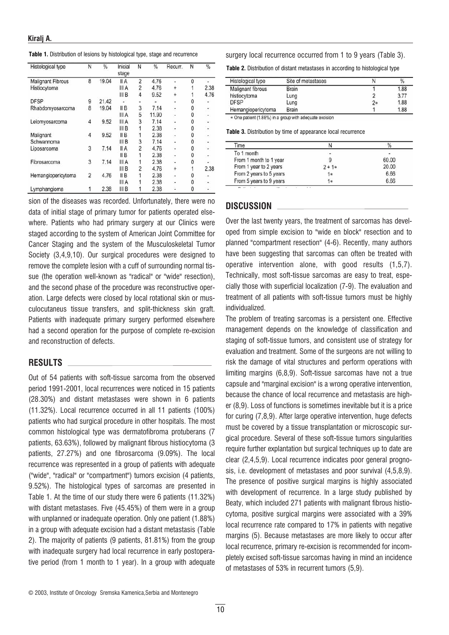|  | <b>Table 1.</b> Distribution of lesions by histological type, stage and recurrence |  |  |  |  |  |
|--|------------------------------------------------------------------------------------|--|--|--|--|--|
|--|------------------------------------------------------------------------------------|--|--|--|--|--|

| Histological type        | N              | %     | Inicial<br>stage | Ν              | %     | Recurr.   | N | $\frac{9}{6}$            |
|--------------------------|----------------|-------|------------------|----------------|-------|-----------|---|--------------------------|
| <b>Malignant Fibrous</b> | 8              | 19.04 | II A             | $\overline{2}$ | 4.76  |           | 0 |                          |
| Histiocytoma             |                |       | III A            | 2              | 4.76  | +         |   | 2.38                     |
|                          |                |       | III B            | 4              | 9.52  | $\ddot{}$ |   | 4.76                     |
| <b>DFSP</b>              | 9              | 21.42 |                  |                |       | ٠         | 0 | ٠                        |
| Rhabdomyosarcoma         | 8              | 19.04 | II B             | 3              | 7.14  | -         | 0 | $\sim$                   |
|                          |                |       | III A            | 5              | 11.90 | ٠         | 0 | ٠                        |
| Leiomyosarcoma           | 4              | 9.52  | III A            | 3              | 7.14  | ٠         | 0 | $\overline{\phantom{a}}$ |
|                          |                |       | III B            |                | 2.38  |           | 0 | $\ddot{\phantom{a}}$     |
| Malignant                | 4              | 9.52  | II <sub>B</sub>  |                | 2.38  | ٠         | 0 | ٠                        |
| Schwannoma               |                |       | III B            | 3              | 7.14  | ä,        | 0 | ٠                        |
| Liposarcoma              | 3              | 7.14  | II A             | 2              | 4.76  | ٠         | 0 | ۰                        |
|                          |                |       | II B             |                | 2.38  | ٠         | 0 | ٠                        |
| Fibrosarcoma             | 3              | 7.14  | III A            |                | 2.38  |           | 0 | ÷.                       |
|                          |                |       | III B            | 2              | 4.76  | $\ddot{}$ |   | 2.38                     |
| Hemangiopericytoma       | $\overline{c}$ | 4.76  | II B             |                | 2.38  | ٠         | 0 | ۰                        |
|                          |                |       | III A            |                | 2.38  | ۰         | 0 | ۰                        |
| Lymphangioma             |                | 2.38  | III B            |                | 2.38  |           | 0 |                          |

sion of the diseases was recorded. Unfortunately, there were no data of initial stage of primary tumor for patients operated elsewhere. Patients who had primary surgery at our Clinics were staged according to the system of American Joint Committee for Cancer Staging and the system of the Musculoskeletal Tumor Society (3,4,9,10). Our surgical procedures were designed to remove the complete lesion with a cuff of surrounding normal tissue (the operation well-known as "radical" or "wide" resection), and the second phase of the procedure was reconstructive operation. Large defects were closed by local rotational skin or musculocutaneus tissue transfers, and split-thickness skin graft. Patients with inadequate primary surgery performed elsewhere had a second operation for the purpose of complete re-excision and reconstruction of defects.

#### RESULTS

Out of 54 patients with soft-tissue sarcoma from the observed period 1991-2001, local recurrences were noticed in 15 patients (28.30%) and distant metastases were shown in 6 patients (11.32%). Local recurrence occurred in all 11 patients (100%) patients who had surgical procedure in other hospitals. The most common histological type was dermatofibroma protuberans (7 patients, 63.63%), followed by malignant fibrous histiocytoma (3 patients, 27.27%) and one fibrosarcoma (9.09%). The local recurrence was represented in a group of patients with adequate ("wide", "radical" or "compartment") tumors excision (4 patients, 9.52%). The histological types of sarcomas are presented in Table 1. At the time of our study there were 6 patients (11.32%) with distant metastases. Five (45.45%) of them were in a group with unplanned or inadequate operation. Only one patient (1.88%) in a group with adequate excision had a distant metastasis (Table 2). The majority of patients (9 patients, 81.81%) from the group with inadequate surgery had local recurrence in early postoperative period (from 1 month to 1 year). In a group with adequate surgery local recurrence occurred from 1 to 9 years (Table 3).

Table 2. Distribution of distant metastases in according to histological type

| Histological type  | Site of metastases |    | %    |
|--------------------|--------------------|----|------|
| Malignant fibrous  | <b>Brain</b>       |    | 1.88 |
| histiocytoma       | Lung               |    | 3.77 |
| <b>DFSP</b>        | Lung               | 2* | 1.88 |
| Hemangiopericytoma | Brain              |    | 1.88 |

Table 3. Distribution by time of appearance local recurrence

| Time                    |          | $\frac{0}{6}$ |
|-------------------------|----------|---------------|
| To 1 month              | ۰        |               |
| From 1 month to 1 year  |          | 60.00         |
| From 1 year to 2 years  | $2 + 1*$ | 20.00         |
| From 2 years to 5 years | 1*       | 6.66          |
| From 5 years to 9 years | 1∗       | 6.66          |

#### DISCUSSION

Over the last twenty years, the treatment of sarcomas has developed from simple excision to "wide en block" resection and to planned "compartment resection" (4-6). Recently, many authors have been suggesting that sarcomas can often be treated with operative intervention alone, with good results (1,5,7). Technically, most soft-tissue sarcomas are easy to treat, especially those with superficial localization (7-9). The evaluation and treatment of all patients with soft-tissue tumors must be highly individualized.

The problem of treating sarcomas is a persistent one. Effective management depends on the knowledge of classification and staging of soft-tissue tumors, and consistent use of strategy for evaluation and treatment. Some of the surgeons are not willing to risk the damage of vital structures and perform operations with limiting margins (6,8,9). Soft-tissue sarcomas have not a true capsule and "marginal excision" is a wrong operative intervention, because the chance of local recurrence and metastasis are higher (8,9). Loss of functions is sometimes inevitable but it is a price for curing (7,8,9). After large operative intervention, huge defects must be covered by a tissue transplantation or microscopic surgical procedure. Several of these soft-tissue tumors singularities require further explantation but surgical techniques up to date are clear (2,4,5,9). Local recurrence indicates poor general prognosis, i.e. development of metastases and poor survival (4,5,8,9). The presence of positive surgical margins is highly associated with development of recurrence. In a large study published by Beaty, which included 271 patients with malignant fibrous histiocytoma, positive surgical margins were associated with a 39% local recurrence rate compared to 17% in patients with negative margins (5). Because metastases are more likely to occur after local recurrence, primary re-excision is recommended for incompletely excised soft-tissue sarcomas having in mind an incidence of metastases of 53% in recurrent tumors (5,9).